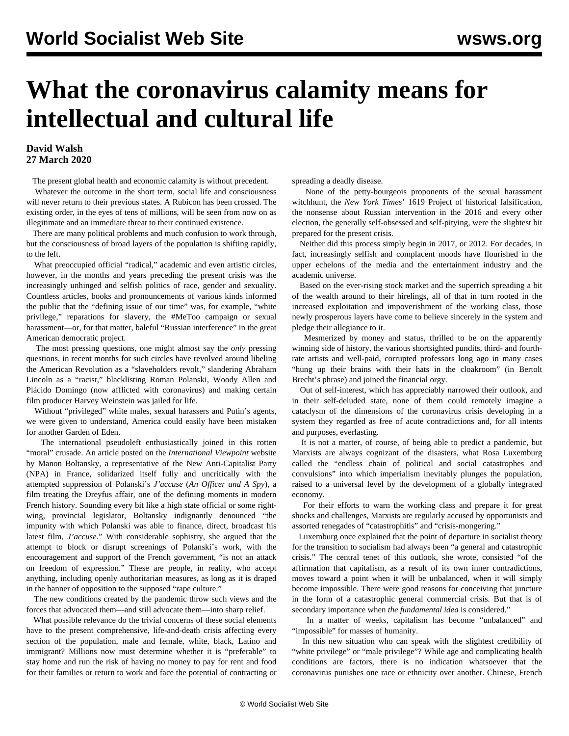## **What the coronavirus calamity means for intellectual and cultural life**

## **David Walsh 27 March 2020**

The present global health and economic calamity is without precedent.

 Whatever the outcome in the short term, social life and consciousness will never return to their previous states. A Rubicon has been crossed. The existing order, in the eyes of tens of millions, will be seen from now on as illegitimate and an immediate threat to their continued existence.

 There are many political problems and much confusion to work through, but the consciousness of broad layers of the population is shifting rapidly, to the left.

 What preoccupied official "radical," academic and even artistic circles, however, in the months and years preceding the present crisis was the increasingly unhinged and selfish politics of race, gender and sexuality. Countless articles, books and pronouncements of various kinds informed the public that the "defining issue of our time" was, for example, "white privilege," reparations for slavery, the #MeToo campaign or sexual harassment—or, for that matter, baleful "Russian interference" in the great American democratic project.

 The most pressing questions, one might almost say the *only* pressing questions, in recent months for such circles have revolved around libeling the American Revolution as a "slaveholders revolt," slandering Abraham Lincoln as a "racist," blacklisting Roman Polanski, Woody Allen and Plácido Domingo (now afflicted with coronavirus) and making certain film producer Harvey Weinstein was jailed for life.

 Without "privileged" white males, sexual harassers and Putin's agents, we were given to understand, America could easily have been mistaken for another Garden of Eden.

 The international pseudoleft enthusiastically joined in this rotten "moral" crusade. An article posted on the *International Viewpoint* website by Manon Boltansky, a representative of the New Anti-Capitalist Party (NPA) in France, solidarized itself fully and uncritically with the attempted suppression of Polanski's *J'accuse* (*An Officer and A Spy*), a film treating the Dreyfus affair, one of the defining moments in modern French history. Sounding every bit like a high state official or some rightwing, provincial legislator, Boltansky indignantly denounced "the impunity with which Polanski was able to finance, direct, broadcast his latest film, *J'accuse*." With considerable sophistry, she argued that the attempt to block or disrupt screenings of Polanski's work, with the encouragement and support of the French government, "is not an attack on freedom of expression." These are people, in reality, who accept anything, including openly authoritarian measures, as long as it is draped in the banner of opposition to the supposed "rape culture."

 The new conditions created by the pandemic throw such views and the forces that advocated them—and still advocate them—into sharp relief.

 What possible relevance do the trivial concerns of these social elements have to the present comprehensive, life-and-death crisis affecting every section of the population, male and female, white, black, Latino and immigrant? Millions now must determine whether it is "preferable" to stay home and run the risk of having no money to pay for rent and food for their families or return to work and face the potential of contracting or spreading a deadly disease.

 None of the petty-bourgeois proponents of the sexual harassment witchhunt, the *New York Times*' 1619 Project of historical falsification, the nonsense about Russian intervention in the 2016 and every other election, the generally self-obsessed and self-pitying, were the slightest bit prepared for the present crisis.

 Neither did this process simply begin in 2017, or 2012. For decades, in fact, increasingly selfish and complacent moods have flourished in the upper echelons of the media and the entertainment industry and the academic universe.

 Based on the ever-rising stock market and the superrich spreading a bit of the wealth around to their hirelings, all of that in turn rooted in the increased exploitation and impoverishment of the working class, those newly prosperous layers have come to believe sincerely in the system and pledge their allegiance to it.

 Mesmerized by money and status, thrilled to be on the apparently winning side of history, the various shortsighted pundits, third- and fourthrate artists and well-paid, corrupted professors long ago in many cases "hung up their brains with their hats in the cloakroom" (in Bertolt Brecht's phrase) and joined the financial orgy.

 Out of self-interest, which has appreciably narrowed their outlook, and in their self-deluded state, none of them could remotely imagine a cataclysm of the dimensions of the coronavirus crisis developing in a system they regarded as free of acute contradictions and, for all intents and purposes, everlasting.

 It is not a matter, of course, of being able to predict a pandemic, but Marxists are always cognizant of the disasters, what Rosa Luxemburg called the "endless chain of political and social catastrophes and convulsions" into which imperialism inevitably plunges the population, raised to a universal level by the development of a globally integrated economy.

 For their efforts to warn the working class and prepare it for great shocks and challenges, Marxists are regularly accused by opportunists and assorted renegades of "catastrophitis" and "crisis-mongering."

 Luxemburg once explained that the point of departure in socialist theory for the transition to socialism had always been "a general and catastrophic crisis." The central tenet of this outlook, she wrote, consisted "of the affirmation that capitalism, as a result of its own inner contradictions, moves toward a point when it will be unbalanced, when it will simply become impossible. There were good reasons for conceiving that juncture in the form of a catastrophic general commercial crisis. But that is of secondary importance when *the fundamental idea* is considered."

 In a matter of weeks, capitalism has become "unbalanced" and "impossible" for masses of humanity.

 In this new situation who can speak with the slightest credibility of "white privilege" or "male privilege"? While age and complicating health conditions are factors, there is no indication whatsoever that the coronavirus punishes one race or ethnicity over another. Chinese, French